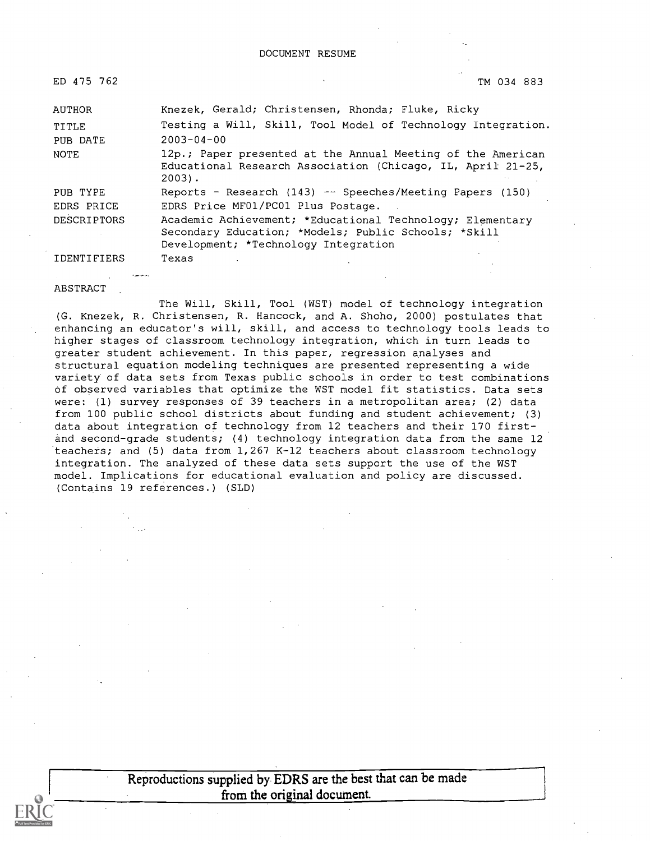| ED 475 762         | TM 034 883                                                                                                                                                |
|--------------------|-----------------------------------------------------------------------------------------------------------------------------------------------------------|
| AUTHOR             | Knezek, Gerald; Christensen, Rhonda; Fluke, Ricky                                                                                                         |
| TITLE              | Testing a Will, Skill, Tool Model of Technology Integration.                                                                                              |
| PUB DATE           | $2003 - 04 - 00$                                                                                                                                          |
| NOTE               | 12p.; Paper presented at the Annual Meeting of the American<br>Educational Research Association (Chicago, IL, April 21-25,<br>$2003$ .                    |
| PUB TYPE           | Reports - Research (143) -- Speeches/Meeting Papers (150)                                                                                                 |
| EDRS PRICE         | EDRS Price MF01/PC01 Plus Postage.                                                                                                                        |
| <b>DESCRIPTORS</b> | Academic Achievement; *Educational Technology; Elementary<br>Secondary Education; *Models; Public Schools; *Skill<br>Development; *Technology Integration |
| <b>IDENTIFIERS</b> | Texas                                                                                                                                                     |

#### ABSTRACT

The Will, Skill, Tool (WST) model of technology integration (G. Knezek, R. Christensen, R. Hancock, and A. Shoho, 2000) postulates that enhancing an educator's will, skill, and access to technology tools leads to higher stages of classroom technology integration, which in turn leads to greater student achievement. In this paper, regression analyses and structural equation modeling techniques are presented representing a wide variety of data sets from Texas public schools in order to test combinations of observed variables that optimize the WST model fit statistics. Data sets were: (1) survey responses of 39 teachers in a metropolitan area; (2) data from 100 public school districts about funding and student achievement; (3) data about integration of technology from 12 teachers and their 170 firstand second-grade students; (4) technology integration data from the same 12 teachers; and (5) data from 1,267 K-12 teachers about classroom technology integration. The analyzed of these data sets support the use of the WST model. Implications for educational evaluation and policy are discussed. (Contains 19 references.) (SLD)

> Reproductions supplied by EDRS are the best that can be made from the original document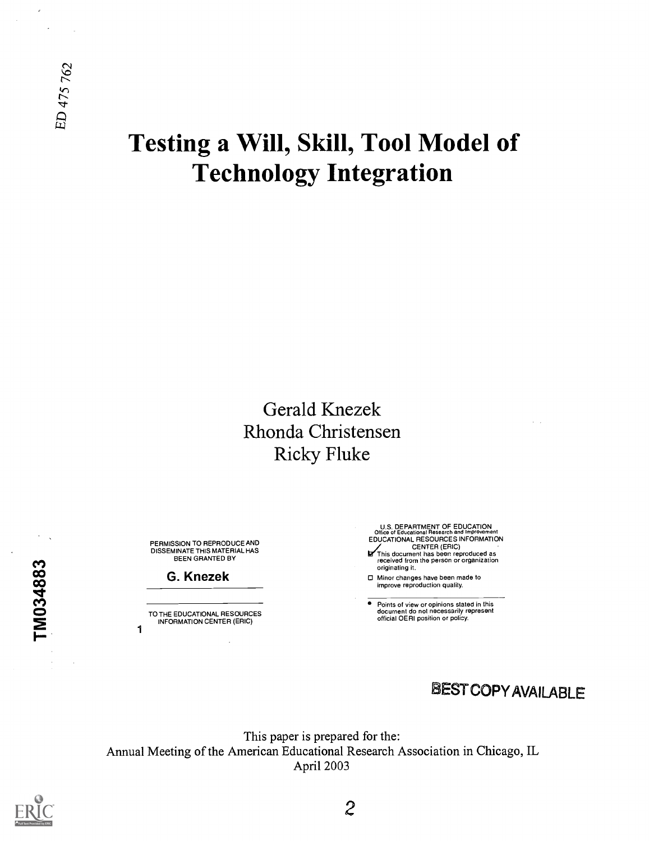# Testing a Will, Skill, Tool Model of Technology Integration

## Gerald Knezek Rhonda Christensen Ricky Fluke

PERMISSION TO REPRODUCE AND DISSEMINATE THIS MATERIAL HAS BEEN GRANTED BY

#### G. Knezek

TO THE EDUCATIONAL RESOURCES INFORMATION CENTER (ERIC) 1

U.S. DEPARTMENT OF EDUCATION Office of Educational Research and Improvement EDUCATIONAL RESOURCES INFORMATION CENTER (ERIC) This document has been reproduced as

received from the person or organization originating it.

Minor changes have been made to improve reproduction quality.

° Points of view or opinions stated in this document do not necessarily represent official OERI position or policy.

## BEST COPYAVAILABLE

This paper is prepared for the: Annual Meeting of the American Educational Research Association in Chicago, IL April 2003



TM034883

2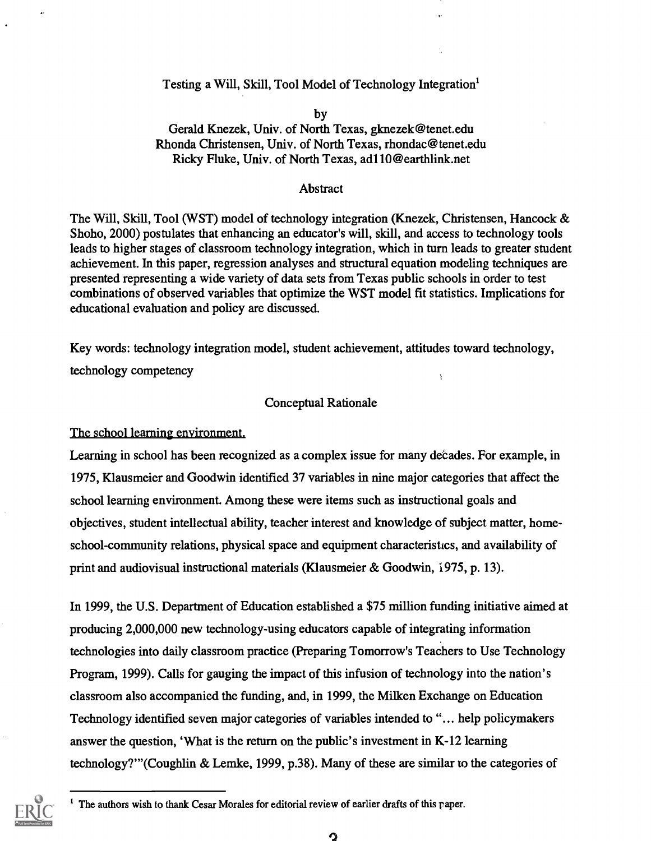#### Testing a Will, Skill, Tool Model of Technology Integration'

by

Gerald Knezek, Univ. of North Texas, gknezek @tenet.edu Rhonda Christensen, Univ. of North Texas, rhondac @tenet.edu Ricky Fluke, Univ. of North Texas, ad110@earthlink.net

#### Abstract

The Will, Skill, Tool (WST) model of technology integration (Knezek, Christensen, Hancock & Shoho, 2000) postulates that enhancing an educator's will, skill, and access to technology tools leads to higher stages of classroom technology integration, which in turn leads to greater student achievement. In this paper, regression analyses and structural equation modeling techniques are presented representing a wide variety of data sets from Texas public schools in order to test combinations of observed variables that optimize the WST model fit statistics. Implications for educational evaluation and policy are discussed.

Key words: technology integration model, student achievement, attitudes toward technology, technology competency

#### Conceptual Rationale

#### The school learning environment.

Learning in school has been recognized as a complex issue for many decades. For example, in 1975, Klausmeier and Goodwin identified 37 variables in nine major categories that affect the school learning environment. Among these were items such as instructional goals and objectives, student intellectual ability, teacher interest and knowledge of subject matter, homeschool-community relations, physical space and equipment characteristics, and availability of print and audiovisual instructional materials (Klausmeier & Goodwin, 1975, p. 13).

In 1999, the U.S. Department of Education established a \$75 million funding initiative aimed at producing 2,000,000 new technology-using educators capable of integrating information technologies into daily classroom practice (Preparing Tomorrow's Teachers to Use Technology Program, 1999). Calls for gauging the impact of this infusion of technology into the nation's classroom also accompanied the funding, and, in 1999, the Milken Exchange on Education Technology identified seven major categories of variables intended to "... help policymakers answer the question, 'What is the return on the public's investment in K-12 learning technology?'"(Coughlin & Lemke, 1999, p.38). Many of these are similar to the categories of



The authors wish to thank Cesar Morales for editorial review of earlier drafts of this raper.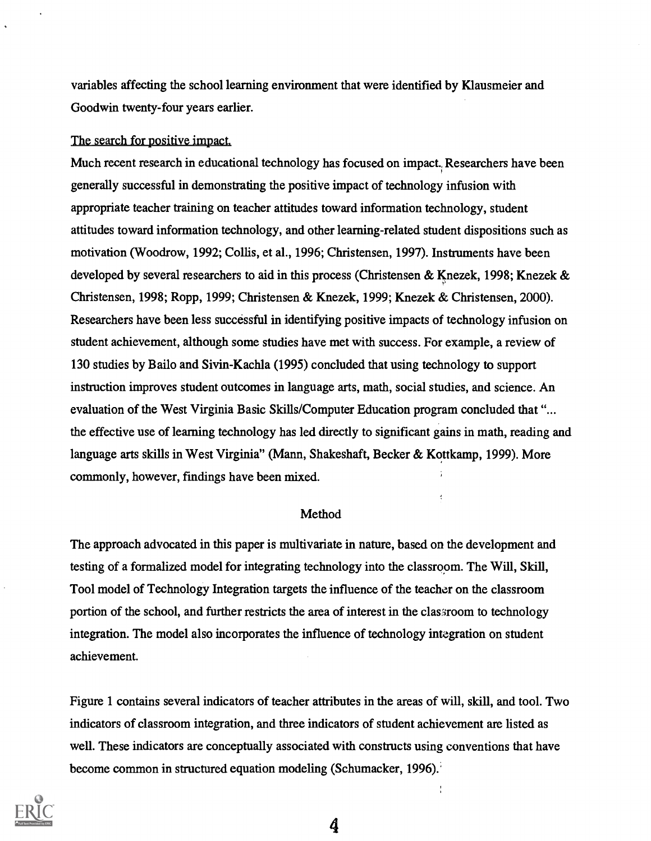variables affecting the school learning environment that were identified by Klausmeier and Goodwin twenty-four years earlier.

#### The search for positive impact.

Much recent research in educational technology has focused on impact. Researchers have been generally successful in demonstrating the positive impact of technology infusion with appropriate teacher training on teacher attitudes toward information technology, student attitudes toward information technology, and other learning-related student dispositions such as motivation (Woodrow, 1992; Collis, et al., 1996; Christensen, 1997). Instruments have been developed by several researchers to aid in this process (Christensen & Knezek, 1998; Knezek & Christensen, 1998; Ropp, 1999; Christensen & Knezek, 1999; Knezek & Christensen, 2000). Researchers have been less successful in identifying positive impacts of technology infusion on student achievement, although some studies have met with success. For example, a review of 130 studies by Bailo and Sivin-Kachla (1995) concluded that using technology to support instruction improves student outcomes in language arts, math, social studies, and science. An evaluation of the West Virginia Basic Skills/Computer Education program concluded that "... the effective use of learning technology has led directly to significant gains in math, reading and language arts skills in West Virginia" (Mann, Shakeshaft, Becker & Kottkamp, 1999). More commonly, however, findings have been mixed.

#### Method

The approach advocated in this paper is multivariate in nature, based on the development and testing of a formalized model for integrating technology into the classroom. The Will, Skill, Tool model of Technology Integration targets the influence of the teacher on the classroom portion of the school, and further restricts the area of interest in the classroom to technology integration. The model also incorporates the influence of technology integration on student achievement.

Figure 1 contains several indicators of teacher attributes in the areas of will, skill, and tool. Two indicators of classroom integration, and three indicators of student achievement are listed as well. These indicators are conceptually associated with constructs using conventions that have become common in structured equation modeling (Schumacker, 1996).



4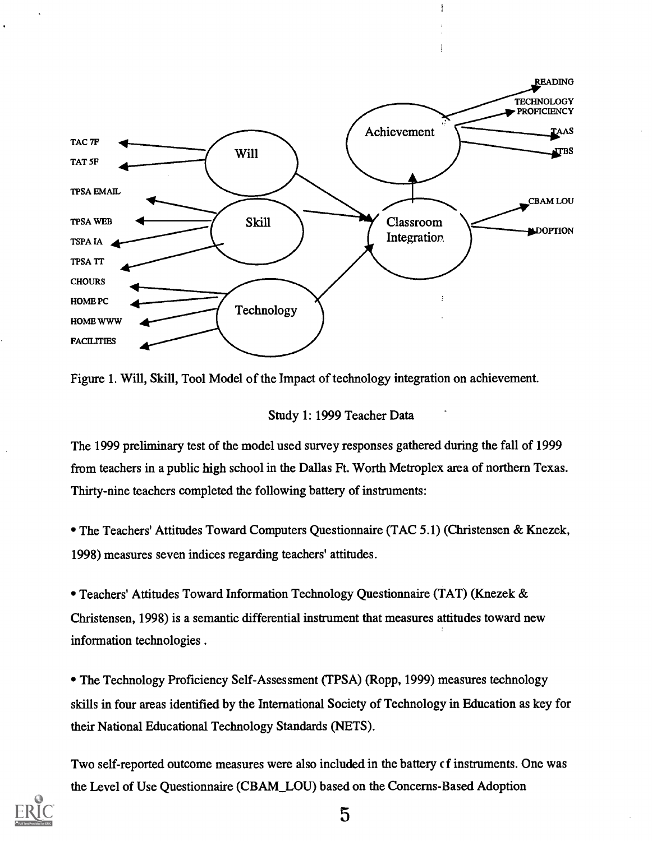

ţ



Study 1: 1999 Teacher Data

The 1999 preliminary test of the model used survey responses gathered during the fall of 1999 from teachers in a public high school in the Dallas Ft. Worth Metroplex area of northern Texas. Thirty-nine teachers completed the following battery of instruments:

The Teachers' Attitudes Toward Computers Questionnaire (TAC 5.1) (Christensen & Knezek, 1998) measures seven indices regarding teachers' attitudes.

Teachers' Attitudes Toward Information Technology Questionnaire (TAT) (Knezek & Christensen, 1998) is a semantic differential instrument that measures attitudes toward new information technologies .

The Technology Proficiency Self-Assessment (TPSA) (Ropp, 1999) measures technology skills in four areas identified by the International Society of Technology in Education as key for their National Educational Technology Standards (NETS).

Two self-reported outcome measures were also included in the battery cf instruments. One was the Level of Use Questionnaire (CBAM\_LOU) based on the Concerns-Based Adoption

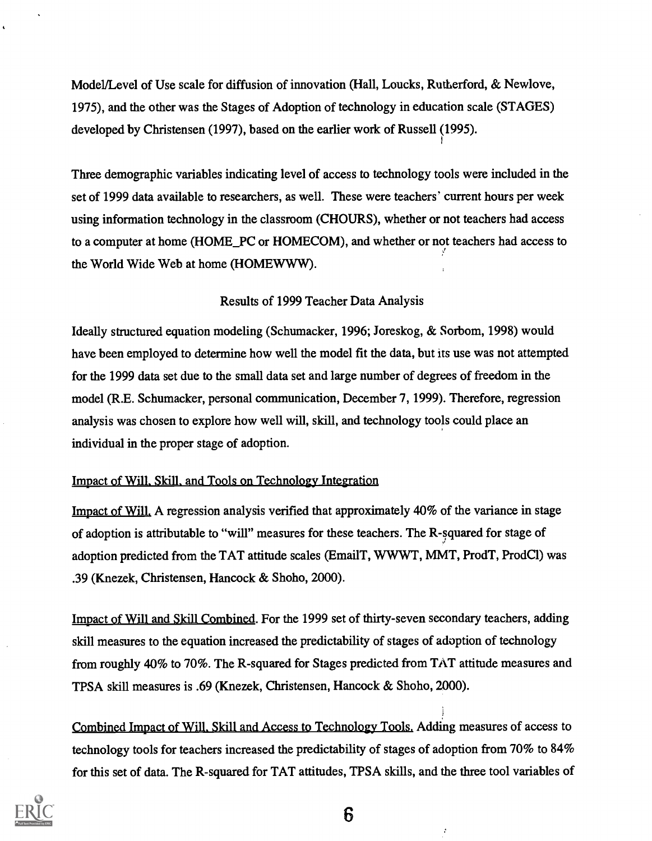Model/Level of Use scale for diffusion of innovation (Hall, Loucks, Rutherford, & Newlove, 1975), and the other was the Stages of Adoption of technology in education scale (STAGES) developed by Christensen (1997), based on the earlier work of Russell (1995).

Three demographic variables indicating level of access to technology tools were included in the set of 1999 data available to researchers, as well. These were teachers' current hours per week using information technology in the classroom (CHOURS), whether or not teachers had access to a computer at home (HOME\_PC or HOMECOM), and whether or not teachers had access to the World Wide Web at home (HOMEWWW).

#### Results of 1999 Teacher Data Analysis

Ideally structured equation modeling (Schumacker, 1996; Joreskog, & Sorbom, 1998) would have been employed to determine how well the model fit the data, but its use was not attempted for the 1999 data set due to the small data set and large number of degrees of freedom in the model (R.E. Schumacker, personal communication, December 7, 1999). Therefore, regression analysis was chosen to explore how well will, skill, and technology tools could place an individual in the proper stage of adoption.

#### Impact of Will. Skill, and Tools on Technology Integration

Impact of Will. A regression analysis verified that approximately 40% of the variance in stage of adoption is attributable to "will" measures for these teachers. The R-squared for stage of adoption predicted from the TAT attitude scales (EmailT, WWWT, MMT, ProdT, ProdCl) was .39 (Knezek, Christensen, Hancock & Shoho, 2000).

Impact of Will and Skill Combined. For the 1999 set of thirty-seven secondary teachers, adding skill measures to the equation increased the predictability of stages of adoption of technology from roughly 40% to 70%. The R-squared for Stages predicted from TAT attitude measures and TPSA skill measures is .69 (Knezek, Christensen, Hancock & Shoho, 2000).

Combined Impact of Will. Skill and Access to Technology Tools, Adding measures of access to technology tools for teachers increased the predictability of stages of adoption from 70% to 84% for this set of data. The R-squared for TAT attitudes, TPSA skills, and the three tool variables of



 $\ddot{\cdot}$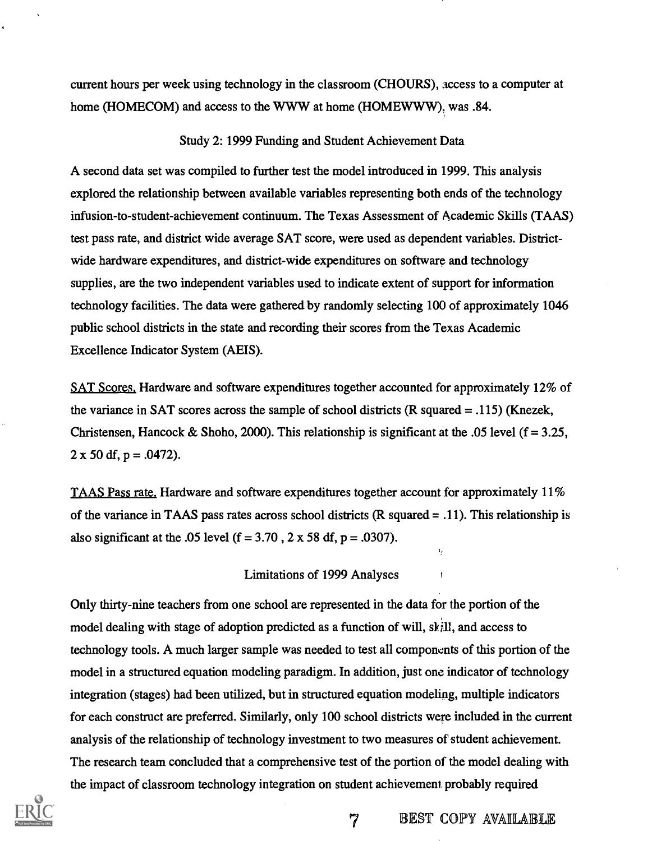current hours per week using technology in the classroom (CHOURS), access to a computer at home (HOMECOM) and access to the WWW at home (HOMEWWW). was .84.

#### Study 2: 1999 Funding and Student Achievement Data

A second data set was compiled to further test the model introduced in 1999. This analysis explored the relationship between available variables representing both ends of the technology infusion-to-student-achievement continuum. The Texas Assessment of Academic Skills (TAAS) test pass rate, and district wide average SAT score, were used as dependent variables. Districtwide hardware expenditures, and district-wide expenditures on software and technology supplies, are the two independent variables used to indicate extent of support for information technology facilities. The data were gathered by randomly selecting 100 of approximately 1046 public school districts in the state and recording their scores from the Texas Academic Excellence Indicator System (AEIS).

SAT Scores. Hardware and software expenditures together accounted for approximately 12% of the variance in SAT scores across the sample of school districts (R squared = .115) (Knezek, Christensen, Hancock & Shoho, 2000). This relationship is significant at the .05 level ( $f = 3.25$ ,  $2 \times 50$  df, p = .0472).

TAAS Pass rate. Hardware and software expenditures together account for approximately 11% of the variance in TAAS pass rates across school districts (R squared = .11). This relationship is also significant at the .05 level ( $f = 3.70$ ,  $2 \times 58$  df,  $p = .0307$ ).

#### Limitations of 1999 Analyses

Only thirty-nine teachers from one school are represented in the data for the portion of the model dealing with stage of adoption predicted as a function of will, skj11, and access to technology tools. A much larger sample was needed to test all components of this portion of the model in a structured equation modeling paradigm. In addition, just one indicator of technology integration (stages) had been utilized, but in structured equation modeling, multiple indicators for each construct are preferred. Similarly, only 100 school districts were included in the current analysis of the relationship of technology investment to two measures of student achievement. The research team concluded that a comprehensive test of the portion of the model dealing with the impact of classroom technology integration on student achievement probably required



7 BEST COPY AVAILABLE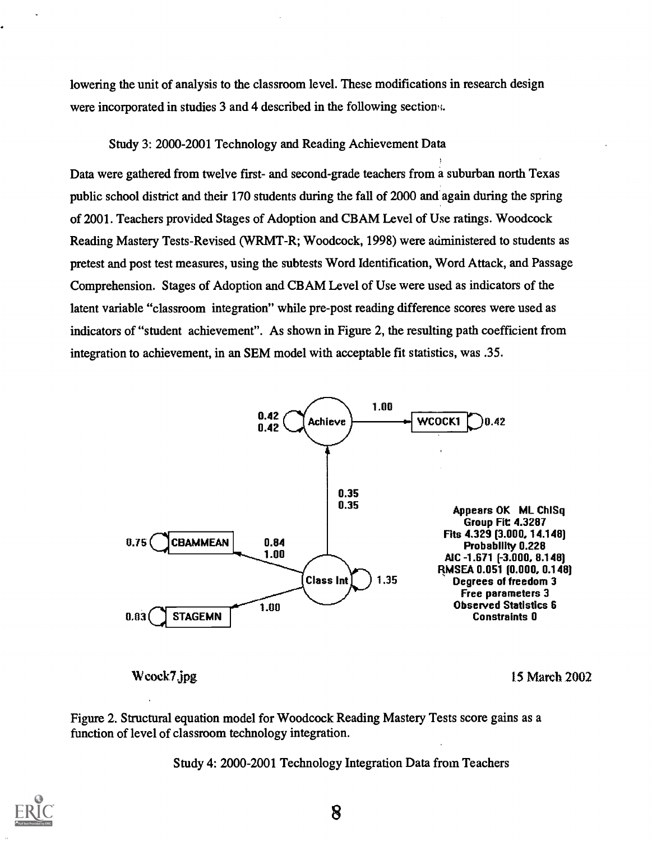lowering the unit of analysis to the classroom level. These modifications in research design were incorporated in studies 3 and 4 described in the following section.

### Study 3: 2000-2001 Technology and Reading Achievement Data

Data were gathered from twelve first- and second-grade teachers from a suburban north Texas public school district and their 170 students during the fall of 2000 and again during the spring of 2001. Teachers provided Stages of Adoption and CBAM Level of Use ratings. Woodcock Reading Mastery Tests-Revised (WRMT-R; Woodcock, 1998) were administered to students as pretest and post test measures, using the subtests Word Identification, Word Attack, and Passage Comprehension. Stages of Adoption and CBAM Level of Use were used as indicators of the latent variable "classroom integration" while pre-post reading difference scores were used as indicators of "student achievement". As shown in Figure 2, the resulting path coefficient from integration to achievement, in an SEM model with acceptable fit statistics, was .35.



Figure 2. Structural equation model for Woodcock Reading Mastery Tests score gains as a function of level of classroom technology integration.

Study 4: 2000-2001 Technology Integration Data from Teachers

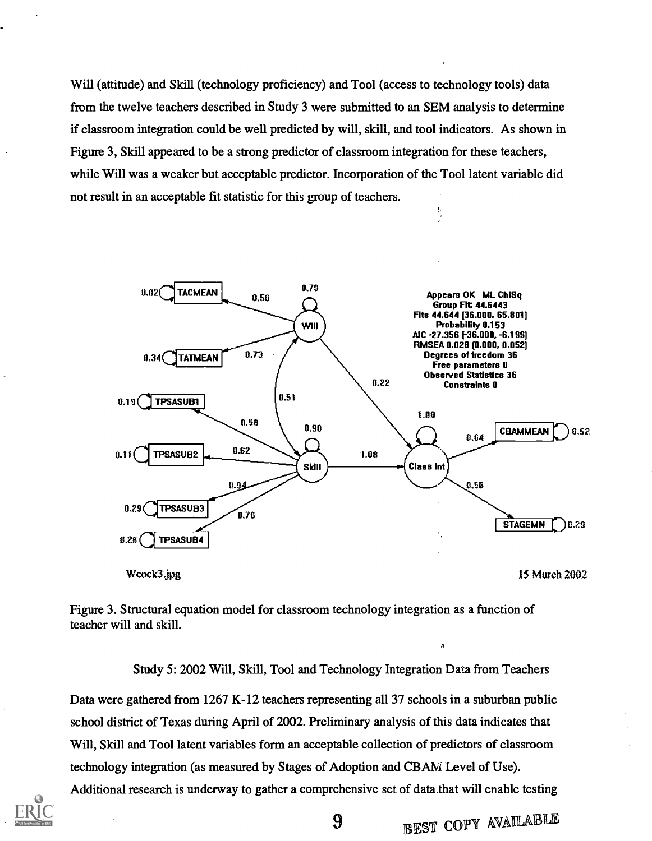Will (attitude) and Skill (technology proficiency) and Tool (access to technology tools) data from the twelve teachers described in Study 3 were submitted to an SEM analysis to determine if classroom integration could be well predicted by will, skill, and tool indicators. As shown in Figure 3, Skill appeared to be a strong predictor of classroom integration for these teachers, while Will was a weaker but acceptable predictor. Incorporation of the Tool latent variable did not result in an acceptable fit statistic for this group of teachers.



Figure 3. Structural equation model for classroom technology integration as a function of teacher will and skill.

Study 5: 2002 Will, Skill, Tool and Technology Integration Data from Teachers

Data were gathered from 1267 K-12 teachers representing all 37 schools in a suburban public school district of Texas during April of 2002. Preliminary analysis of this data indicates that Will, Skill and Tool latent variables form an acceptable collection of predictors of classroom technology integration (as measured by Stages of Adoption and CBAM Level of Use). Additional research is underway to gather a comprehensive set of data that will enable testing



9 BEST COPY AVAILABLE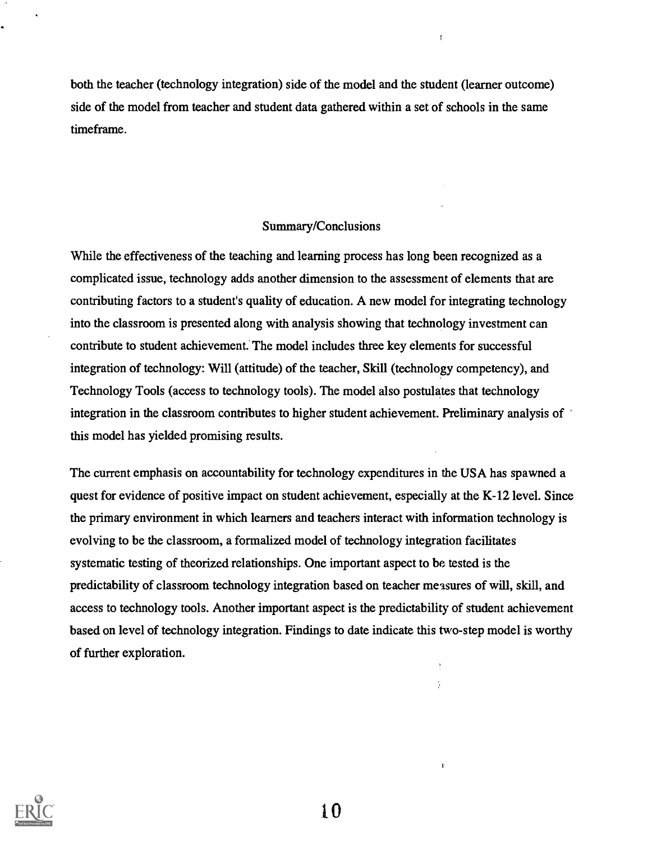both the teacher (technology integration) side of the model and the student (learner outcome) side of the model from teacher and student data gathered within a set of schools in the same timeframe.

 $\ddot{\phantom{a}}$ 

ÿ

ŀ.

#### Summary/Conclusions

While the effectiveness of the teaching and learning process has long been recognized as a complicated issue, technology adds another dimension to the assessment of elements that are contributing factors to a student's quality of education. A new model for integrating technology into the classroom is presented along with analysis showing that technology investment can contribute to student achievement: The model includes three key elements for successful integration of technology: Will (attitude) of the teacher, Skill (technology competency), and Technology Tools (access to technology tools). The model also postulates that technology integration in the classroom contributes to higher student achievement. Preliminary analysis of this model has yielded promising results.

The current emphasis on accountability for technology expenditures in the USA has spawned a quest for evidence of positive impact on student achievement, especially at the K-12 level. Since the primary environment in which learners and teachers interact with information technology is evolving to be the classroom, a formalized model of technology integration facilitates systematic testing of theorized relationships. One important aspect to be tested is the predictability of classroom technology integration based on teacher measures of will, skill, and access to technology tools. Another important aspect is the predictability of student achievement based on level of technology integration. Findings to date indicate this two-step model is worthy of further exploration.



1 0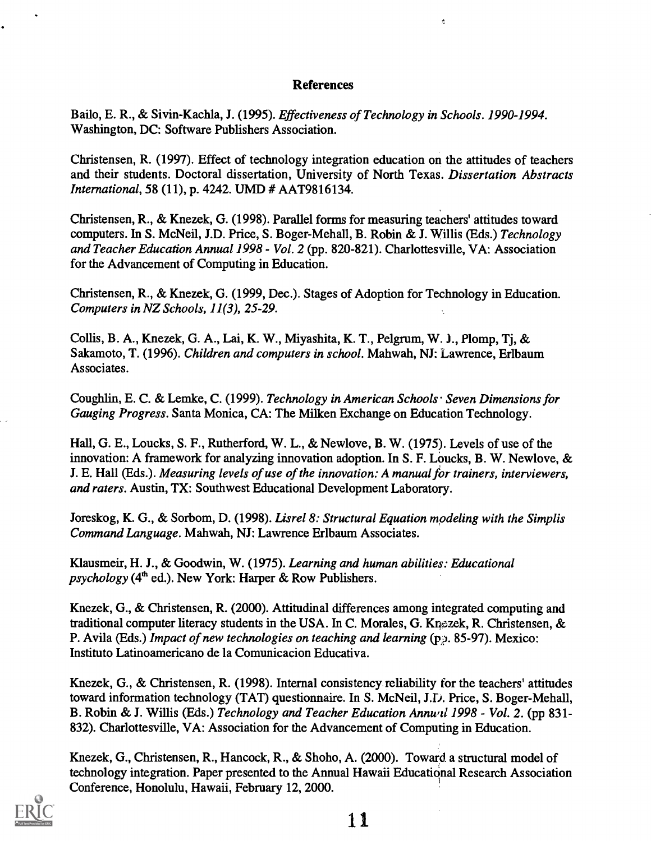#### References

ŝ

Bailo, E. R., & Sivin-Kachla, J. (1995). Effectiveness of Technology in Schools. 1990-1994. Washington, DC: Software Publishers Association.

Christensen, R. (1997). Effect of technology integration education on the attitudes of teachers and their students. Doctoral dissertation, University of North Texas. Dissertation Abstracts International, 58 (11), p. 4242. UMD # AAT9816134.

Christensen, R., & Knezek, G. (1998). Parallel forms for measuring teachers' attitudes toward computers. In S. McNeil, J.D. Price, S. Boger-Mehall, B. Robin & J. Willis (Eds.) Technology and Teacher Education Annual 1998 - Vol. 2 (pp. 820-821). Charlottesville, VA: Association for the Advancement of Computing in Education.

Christensen, R., & Knezek, G. (1999, Dec.). Stages of Adoption for Technology in Education. Computers in NZ Schools, 11(3), 25-29.

Collis, B. A., Knezek, G. A., Lai, K. W., Miyashita, K. T., Pelgrum, W. J., Plomp, Tj, & Sakamoto, T. (1996). Children and computers in school. Mahwah, NJ: Lawrence, Erlbaum Associates.

Coughlin, E. C. & Lemke, C. (1999). Technology in American Schools Seven Dimensions for Gauging Progress. Santa Monica, CA: The Milken Exchange on Education Technology.

Hall, G. E., Loucks, S. F., Rutherford, W. L., & Newlove, B. W. (1975). Levels of use of the innovation: A framework for analyzing innovation adoption. In S. F. Loucks, B. W. Newlove, & J. E. Hall (Eds.). Measuring levels of use of the innovation: A manual for trainers, interviewers, and raters. Austin, TX: Southwest Educational Development Laboratory.

Joreskog, K. G., & Sorbom, D. (1998). Lisrel 8: Structural Equation modeling with the Simplis Command Language. Mahwah, NJ: Lawrence Erlbaum Associates.

Klausmeir, H. J., & Goodwin, W. (1975). Learning and human abilities: Educational psychology ( $4<sup>th</sup>$  ed.). New York: Harper & Row Publishers.

Knezek, G., & Christensen, R. (2000). Attitudinal differences among integrated computing and traditional computer literacy students in the USA. In C. Morales, G. Knezek, R. Christensen, & P. Avila (Eds.) Impact of new technologies on teaching and learning (pp. 85-97). Mexico: Instituto Latinoamericano de la Comunicacion Educativa.

Knezek, G., & Christensen, R. (1998). Internal consistency reliability for the teachers' attitudes toward information technology (TAT) questionnaire. In S. McNeil, J.D. Price, S. Boger-Mehall, B. Robin & J. Willis (Eds.) Technology and Teacher Education Annual 1998 - Vol. 2. (pp 831-832). Charlottesville, VA: Association for the Advancement of Computing in Education.

Knezek, G., Christensen, R., Hancock, R., & Shoho, A. (2000). Toward a structural model of technology integration. Paper presented to the Annual Hawaii Educational Research Association Conference, Honolulu, Hawaii, February 12, 2000.

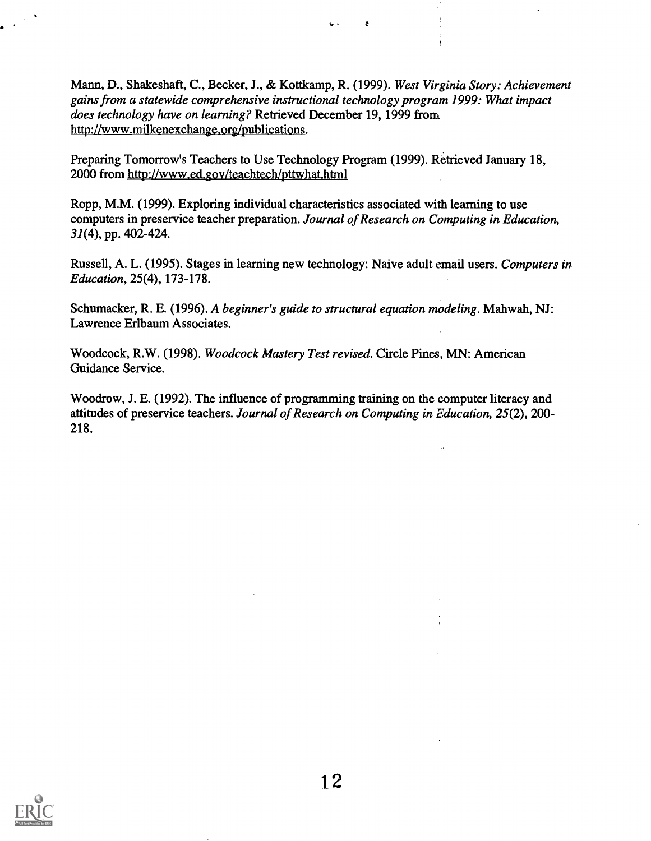Mann, D., Shakeshaft, C., Becker, J., & Kottkamp, R. (1999). West Virginia Story: Achievement gains from a statewide comprehensive instructional technology program 1999: What impact does technology have on learning? Retrieved December 19, 1999 from http://www.milkenexchange.org/publications.

Preparing Tomorrow's Teachers to Use Technology Program (1999). Retrieved January 18, 2000 from http://www.ed.gov/teachtech/pttwhat.html

Ropp, M.M. (1999). Exploring individual characteristics associated with learning to use computers in preservice teacher preparation. Journal of Research on Computing in Education, 31(4), pp. 402-424.

Russell, A. L. (1995). Stages in learning new technology: Naive adult email users. Computers in Education, 25(4), 173-178.

Schumacker, R. E. (1996). A beginner's guide to structural equation modeling. Mahwah, NJ: Lawrence Erlbaum Associates.

Woodcock, R.W. (1998). Woodcock Mastery Test revised. Circle Pines, MN: American Guidance Service.

Woodrow, J. E. (1992). The influence of programming training on the computer literacy and attitudes of preservice teachers. Journal of Research on Computing in Education, 25(2), 200- 218.

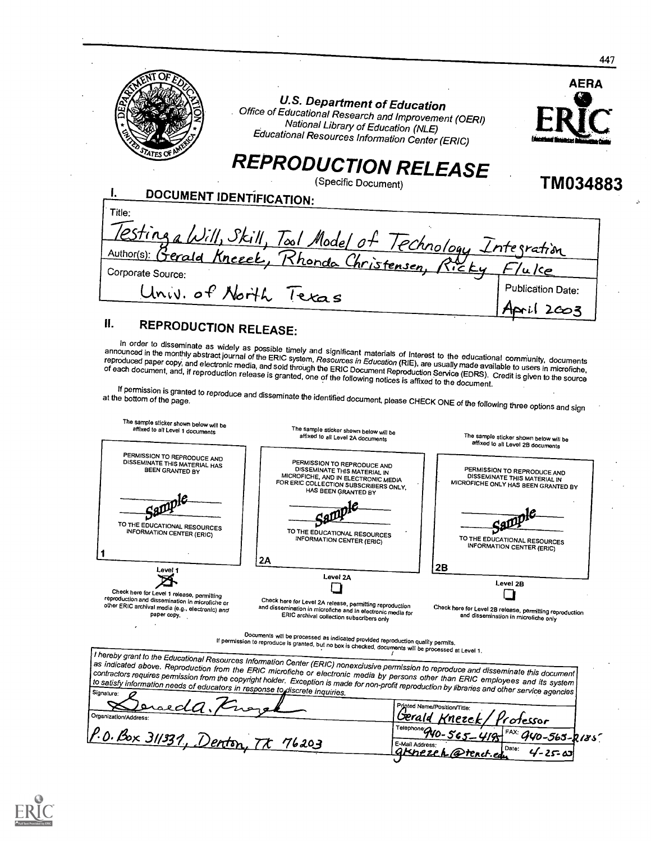

### **II.** REPRODUCTION RELEASE:

In order to disseminate as widely as possible timely and significant materials of interest to the educational community, documents<br>announced in the monthly abstract journal of the ERIC system, Resources in Education (RIE), reproduced paper copy, and electronic media, and sold through the ERIC Document Reproduction Service (EDRS). Credit is given to the source of each document, and, if reproduction release is granted, one of the following notices is affixed to the document.

If permission is granted to reproduce and disseminate the identified document, please CHECK ONE of the following three options and sign at the bottom of the page.

| The sample sticker shown below will be<br>affixed to all Level 1 documents                               | The sample sticker shown below will be<br>affixed to all Level 2A documents                                                                                                                                                                                                                                                                                                                                                               | The sample sticker shown below will be<br>affixed to all Level 2B documents                        |  |  |
|----------------------------------------------------------------------------------------------------------|-------------------------------------------------------------------------------------------------------------------------------------------------------------------------------------------------------------------------------------------------------------------------------------------------------------------------------------------------------------------------------------------------------------------------------------------|----------------------------------------------------------------------------------------------------|--|--|
| PERMISSION TO REPRODUCE AND<br>DISSEMINATE THIS MATERIAL HAS<br>BEEN GRANTED BY                          | PERMISSION TO REPRODUCE AND<br>DISSEMINATE THIS MATERIAL IN<br>MICROFICHE, AND IN ELECTRONIC MEDIA<br>FOR ERIC COLLECTION SUBSCRIBERS ONLY.<br>HAS BEEN GRANTED BY                                                                                                                                                                                                                                                                        | PERMISSION TO REPRODUCE AND<br>DISSEMINATE THIS MATERIAL IN<br>MICROFICHE ONLY HAS BEEN GRANTED BY |  |  |
| TO THE EDUCATIONAL RESOURCES<br>INFORMATION CENTER (ERIC)                                                | TO THE EDUCATIONAL RESOURCES<br>INFORMATION CENTER (ERIC)                                                                                                                                                                                                                                                                                                                                                                                 | TO THE EDUCATIONAL RESOURCES<br>INFORMATION CENTER (ERIC)                                          |  |  |
| Level 1<br>Check here for Level 1 release, permitting<br>reproduction and dissemination in microfiche or | 2Α<br>Level 2A<br>Check here for Level 2A release, permitting reproduction                                                                                                                                                                                                                                                                                                                                                                | 2B<br>Level 2B                                                                                     |  |  |
| other ERIC archival media (e.g., electronic) and<br>paper copy.                                          | and dissemination in microfiche and in electronic media for<br>ERIC archival collection subscribers only                                                                                                                                                                                                                                                                                                                                  | Check here for Level 2B release, permitting reproduction<br>and dissemination in microfiche only   |  |  |
|                                                                                                          | Documents will be processed as indicated provided reproduction quality permits.<br>If permission to reproduce is granted, but no box is checked, documents will be processed at Level 1.                                                                                                                                                                                                                                                  |                                                                                                    |  |  |
|                                                                                                          | I hereby grant to the Educational Resources Information Center (ERIC) nonexciusive permission to reproduce and disseminate this document<br>as indicated above. Reproduction from the ERIC microfiche or electronic media by persons other than ERIC employees and its system $\vert$<br>contractors requires permission from the copyright holder. Exception is made for non-profit reproduction by libraries and other service agencies |                                                                                                    |  |  |

| L <sup>to</sup> salisty information needs of educators in response to discrete inquiries. | with the complete the service agencies of the service and other service agencies. |
|-------------------------------------------------------------------------------------------|-----------------------------------------------------------------------------------|
| Deraeda,<br>I Organization/Address:                                                       | I Printed Name/Position/Title:<br>Gerald Knezek/Professor                         |
| P.O. Box 311331, Denton, Tt 76203                                                         | Telephone 940-565-4185 FAX: 940-565-2185<br>I E-Mail Address:                     |
|                                                                                           | Date:<br>gknezet @tenet.edu<br>$4 - 25 - 10$                                      |